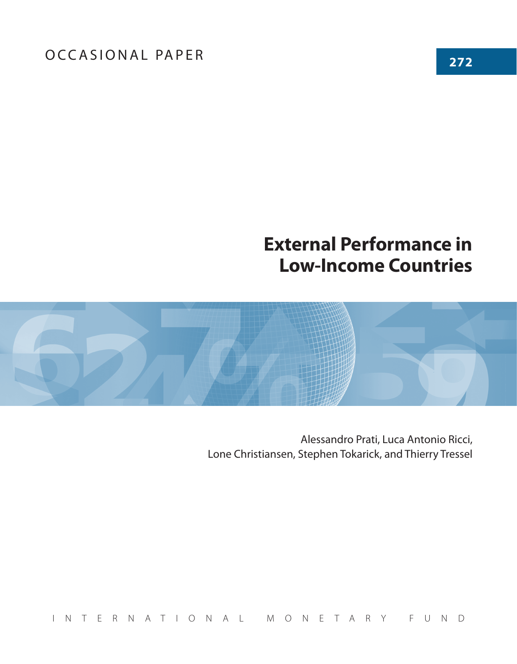## **External Performance in Low-Income Countries**



Alessandro Prati, Luca Antonio Ricci, Lone Christiansen, Stephen Tokarick, and Thierry Tressel

INTERNATIONAL MONETARY FUND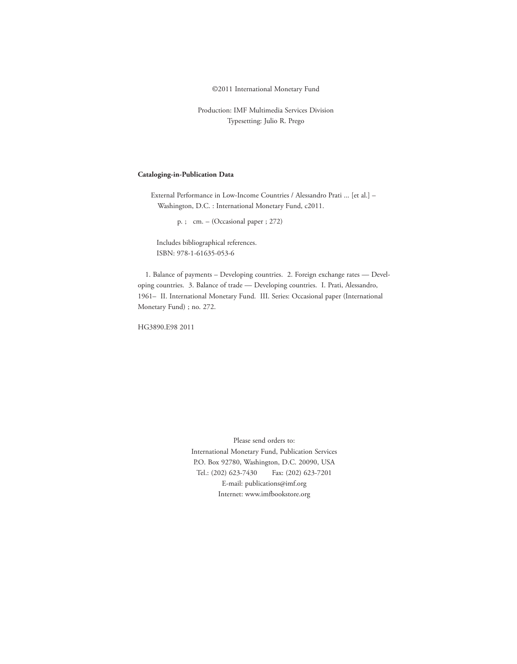©2011 International Monetary Fund

Production: IMF Multimedia Services Division Typesetting: Julio R. Prego

## **Cataloging-in-Publication Data**

External Performance in Low-Income Countries / Alessandro Prati ... [et al.] – Washington, D.C. : International Monetary Fund, c2011.

p. ; cm. – (Occasional paper ; 272)

Includes bibliographical references. ISBN: 978-1-61635-053-6

1. Balance of payments – Developing countries. 2. Foreign exchange rates — Developing countries. 3. Balance of trade — Developing countries. I. Prati, Alessandro, 1961– II. International Monetary Fund. III. Series: Occasional paper (International Monetary Fund) ; no. 272.

HG3890.E98 2011

Please send orders to: International Monetary Fund, Publication Services P.O. Box 92780, Washington, D.C. 20090, USA Tel.: (202) 623-7430 Fax: (202) 623-7201 E-mail: publications@imf.org Internet: www.imfbookstore.org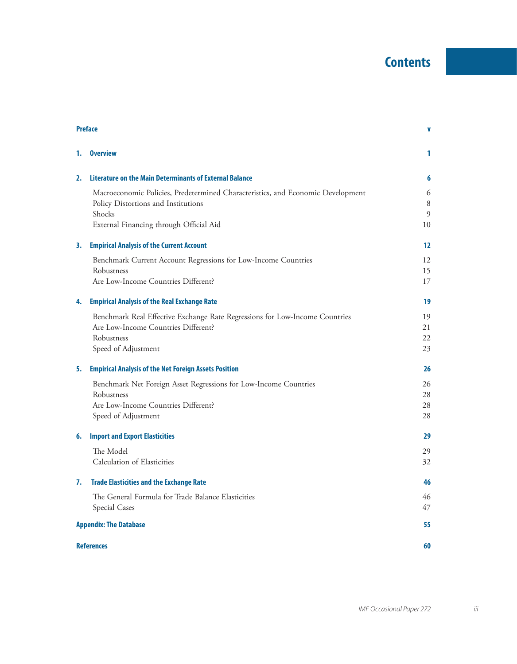## **Contents**

| <b>Preface</b> |                                                                                 | V  |  |
|----------------|---------------------------------------------------------------------------------|----|--|
| 1.             | <b>Overview</b>                                                                 | 1  |  |
| 2.             | Literature on the Main Determinants of External Balance                         | 6  |  |
|                | Macroeconomic Policies, Predetermined Characteristics, and Economic Development | 6  |  |
|                | Policy Distortions and Institutions                                             | 8  |  |
|                | Shocks                                                                          | 9  |  |
|                | External Financing through Official Aid                                         | 10 |  |
| 3.             | <b>Empirical Analysis of the Current Account</b>                                | 12 |  |
|                | Benchmark Current Account Regressions for Low-Income Countries                  | 12 |  |
|                | Robustness                                                                      | 15 |  |
|                | Are Low-Income Countries Different?                                             | 17 |  |
| 4.             | <b>Empirical Analysis of the Real Exchange Rate</b>                             | 19 |  |
|                | Benchmark Real Effective Exchange Rate Regressions for Low-Income Countries     | 19 |  |
|                | Are Low-Income Countries Different?                                             | 21 |  |
|                | Robustness                                                                      | 22 |  |
|                | Speed of Adjustment                                                             | 23 |  |
| 5.             | <b>Empirical Analysis of the Net Foreign Assets Position</b>                    | 26 |  |
|                | Benchmark Net Foreign Asset Regressions for Low-Income Countries                | 26 |  |
|                | Robustness                                                                      | 28 |  |
|                | Are Low-Income Countries Different?                                             | 28 |  |
|                | Speed of Adjustment                                                             | 28 |  |
| 6.             | <b>Import and Export Elasticities</b>                                           | 29 |  |
|                | The Model                                                                       | 29 |  |
|                | Calculation of Elasticities                                                     | 32 |  |
| 7.             | <b>Trade Elasticities and the Exchange Rate</b>                                 | 46 |  |
|                | The General Formula for Trade Balance Elasticities                              | 46 |  |
|                | Special Cases                                                                   | 47 |  |
|                | <b>Appendix: The Database</b>                                                   |    |  |
|                | <b>References</b>                                                               |    |  |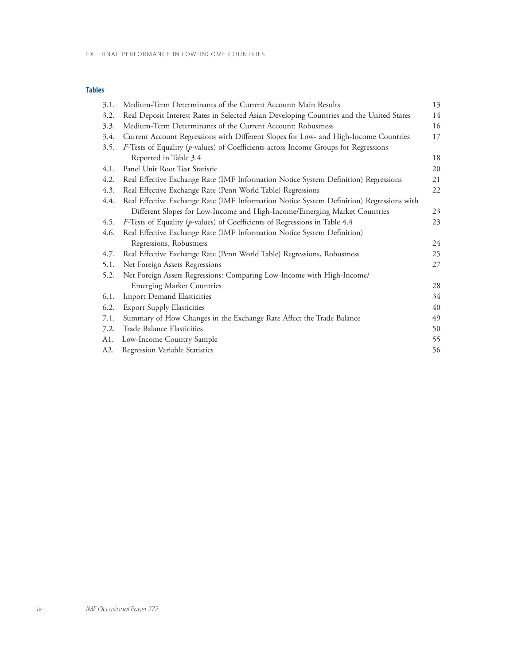## **Tables**

| 3.1. | Medium-Term Determinants of the Current Account: Main Results                            | 13 |
|------|------------------------------------------------------------------------------------------|----|
| 3.2. | Real Deposit Interest Rates in Selected Asian Developing Countries and the United States | 14 |
| 3.3. | Medium-Term Determinants of the Current Account: Robustness                              | 16 |
| 3.4. | Current Account Regressions with Different Slopes for Low- and High-Income Countries     | 17 |
| 3.5. | F-Tests of Equality (p-values) of Coefficients across Income Groups for Regressions      |    |
|      | Reported in Table 3.4                                                                    | 18 |
| 4.1. | Panel Unit Root Test Statistic                                                           | 20 |
| 4.2. | Real Effective Exchange Rate (IMF Information Notice System Definition) Regressions      | 21 |
| 4.3. | Real Effective Exchange Rate (Penn World Table) Regressions                              | 22 |
| 4.4. | Real Effective Exchange Rate (IMF Information Notice System Definition) Regressions with |    |
|      | Different Slopes for Low-Income and High-Income/Emerging Market Countries                | 23 |
| 4.5. | F-Tests of Equality (p-values) of Coefficients of Regressions in Table 4.4               | 23 |
| 4.6. | Real Effective Exchange Rate (IMF Information Notice System Definition)                  |    |
|      | Regressions, Robustness                                                                  | 24 |
| 4.7. | Real Effective Exchange Rate (Penn World Table) Regressions, Robustness                  | 25 |
| 5.1. | Net Foreign Assets Regressions                                                           | 27 |
| 5.2. | Net Foreign Assets Regressions: Comparing Low-Income with High-Income/                   |    |
|      | <b>Emerging Market Countries</b>                                                         | 28 |
| 6.1. | <b>Import Demand Elasticities</b>                                                        | 34 |
| 6.2. | <b>Export Supply Elasticities</b>                                                        | 40 |
| 7.1. | Summary of How Changes in the Exchange Rate Affect the Trade Balance                     | 49 |
| 7.2. | Trade Balance Elasticities                                                               | 50 |
| A1.  | Low-Income Country Sample                                                                | 55 |
| A2.  | Regression Variable Statistics                                                           | 56 |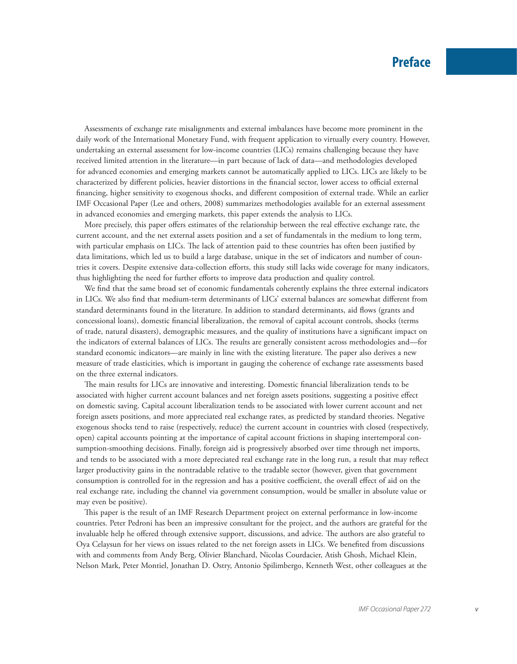Assessments of exchange rate misalignments and external imbalances have become more prominent in the daily work of the International Monetary Fund, with frequent application to virtually every country. However, undertaking an external assessment for low-income countries (LICs) remains challenging because they have received limited attention in the literature—in part because of lack of data—and methodologies developed for advanced economies and emerging markets cannot be automatically applied to LICs. LICs are likely to be characterized by different policies, heavier distortions in the financial sector, lower access to official external financing, higher sensitivity to exogenous shocks, and different composition of external trade. While an earlier IMF Occasional Paper (Lee and others, 2008) summarizes methodologies available for an external assessment in advanced economies and emerging markets, this paper extends the analysis to LICs.

More precisely, this paper offers estimates of the relationship between the real effective exchange rate, the current account, and the net external assets position and a set of fundamentals in the medium to long term, with particular emphasis on LICs. The lack of attention paid to these countries has often been justified by data limitations, which led us to build a large database, unique in the set of indicators and number of countries it covers. Despite extensive data-collection efforts, this study still lacks wide coverage for many indicators, thus highlighting the need for further efforts to improve data production and quality control.

We find that the same broad set of economic fundamentals coherently explains the three external indicators in LICs. We also find that medium-term determinants of LICs' external balances are somewhat different from standard determinants found in the literature. In addition to standard determinants, aid flows (grants and concessional loans), domestic financial liberalization, the removal of capital account controls, shocks (terms of trade, natural disasters), demographic measures, and the quality of institutions have a significant impact on the indicators of external balances of LICs. The results are generally consistent across methodologies and—for standard economic indicators—are mainly in line with the existing literature. The paper also derives a new measure of trade elasticities, which is important in gauging the coherence of exchange rate assessments based on the three external indicators.

The main results for LICs are innovative and interesting. Domestic financial liberalization tends to be associated with higher current account balances and net foreign assets positions, suggesting a positive effect on domestic saving. Capital account liberalization tends to be associated with lower current account and net foreign assets positions, and more appreciated real exchange rates, as predicted by standard theories. Negative exogenous shocks tend to raise (respectively, reduce) the current account in countries with closed (respectively, open) capital accounts pointing at the importance of capital account frictions in shaping intertemporal consumption-smoothing decisions. Finally, foreign aid is progressively absorbed over time through net imports, and tends to be associated with a more depreciated real exchange rate in the long run, a result that may reflect larger productivity gains in the nontradable relative to the tradable sector (however, given that government consumption is controlled for in the regression and has a positive coefficient, the overall effect of aid on the real exchange rate, including the channel via government consumption, would be smaller in absolute value or may even be positive).

This paper is the result of an IMF Research Department project on external performance in low-income countries. Peter Pedroni has been an impressive consultant for the project, and the authors are grateful for the invaluable help he offered through extensive support, discussions, and advice. The authors are also grateful to Oya Celaysun for her views on issues related to the net foreign assets in LICs. We benefited from discussions with and comments from Andy Berg, Olivier Blanchard, Nicolas Courdacier, Atish Ghosh, Michael Klein, Nelson Mark, Peter Montiel, Jonathan D. Ostry, Antonio Spilimbergo, Kenneth West, other colleagues at the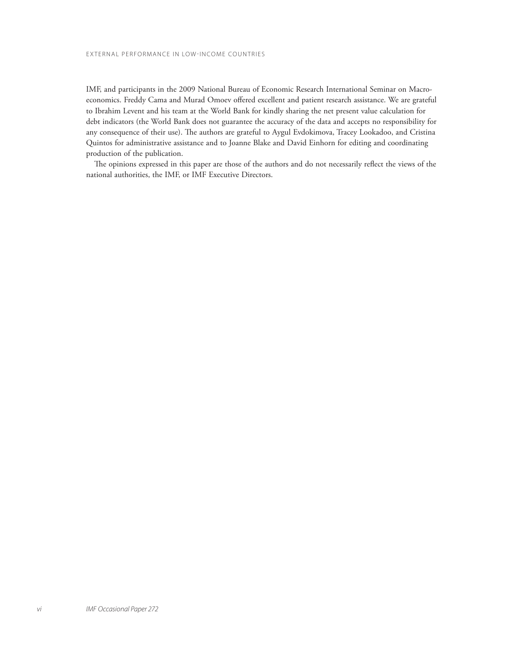IMF, and participants in the 2009 National Bureau of Economic Research International Seminar on Macroeconomics. Freddy Cama and Murad Omoev offered excellent and patient research assistance. We are grateful to Ibrahim Levent and his team at the World Bank for kindly sharing the net present value calculation for debt indicators (the World Bank does not guarantee the accuracy of the data and accepts no responsibility for any consequence of their use). The authors are grateful to Aygul Evdokimova, Tracey Lookadoo, and Cristina Quintos for administrative assistance and to Joanne Blake and David Einhorn for editing and coordinating production of the publication.

The opinions expressed in this paper are those of the authors and do not necessarily reflect the views of the national authorities, the IMF, or IMF Executive Directors.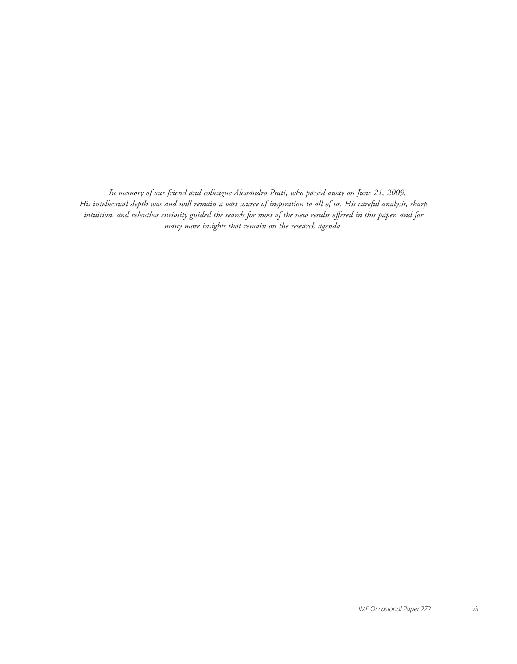*In memory of our friend and colleague Alessandro Prati, who passed away on June 21, 2009. His intellectual depth was and will remain a vast source of inspiration to all of us. His careful analysis, sharp*  intuition, and relentless curiosity guided the search for most of the new results offered in this paper, and for *many more insights that remain on the research agenda.*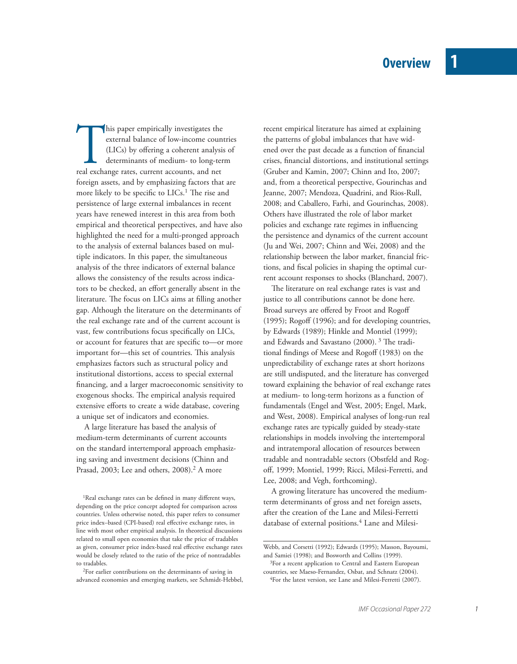This paper empirically investigates the external balance of low-income count (LICs) by offering a coherent analysis determinants of medium- to long-ter real exchange rates, current accounts, and net external balance of low-income countries (LICs) by offering a coherent analysis of determinants of medium- to long-term foreign assets, and by emphasizing factors that are more likely to be specific to LICs.<sup>1</sup> The rise and persistence of large external imbalances in recent years have renewed interest in this area from both empirical and theoretical perspectives, and have also highlighted the need for a multi-pronged approach to the analysis of external balances based on multiple indicators. In this paper, the simultaneous analysis of the three indicators of external balance allows the consistency of the results across indicators to be checked, an effort generally absent in the literature. The focus on LICs aims at filling another gap. Although the literature on the determinants of the real exchange rate and of the current account is vast, few contributions focus specifically on LICs, or account for features that are specific to-or more important for-this set of countries. This analysis emphasizes factors such as structural policy and institutional distortions, access to special external financing, and a larger macroeconomic sensitivity to exogenous shocks. The empirical analysis required extensive efforts to create a wide database, covering a unique set of indicators and economies.

A large literature has based the analysis of medium-term determinants of current accounts on the standard intertemporal approach emphasizing saving and investment decisions (Chinn and Prasad, 2003; Lee and others, 2008).<sup>2</sup> A more

<sup>1</sup>Real exchange rates can be defined in many different ways, depending on the price concept adopted for comparison across countries. Unless otherwise noted, this paper refers to consumer price index-based (CPI-based) real effective exchange rates, in line with most other empirical analysis. In theoretical discussions related to small open economies that take the price of tradables as given, consumer price index-based real effective exchange rates would be closely related to the ratio of the price of nontradables to tradables.

2For earlier contributions on the determinants of saving in advanced economies and emerging markets, see Schmidt-Hebbel, recent empirical literature has aimed at explaining the patterns of global imbalances that have widened over the past decade as a function of financial crises, financial distortions, and institutional settings (Gruber and Kamin, 2007; Chinn and Ito, 2007; and, from a theoretical perspective, Gourinchas and Jeanne, 2007; Mendoza, Quadrini, and Rios-Rull, 2008; and Caballero, Farhi, and Gourinchas, 2008). Others have illustrated the role of labor market policies and exchange rate regimes in influencing the persistence and dynamics of the current account (Ju and Wei, 2007; Chinn and Wei, 2008) and the relationship between the labor market, financial frictions, and fiscal policies in shaping the optimal current account responses to shocks (Blanchard, 2007).

The literature on real exchange rates is vast and justice to all contributions cannot be done here. Broad surveys are offered by Froot and Rogoff (1995); Rogoff (1996); and for developing countries, by Edwards (1989); Hinkle and Montiel (1999); and Edwards and Savastano (2000).<sup>3</sup> The traditional findings of Meese and Rogoff (1983) on the unpredictability of exchange rates at short horizons are still undisputed, and the literature has converged toward explaining the behavior of real exchange rates at medium- to long-term horizons as a function of fundamentals (Engel and West, 2005; Engel, Mark, and West, 2008). Empirical analyses of long-run real exchange rates are typically guided by steady-state relationships in models involving the intertemporal and intratemporal allocation of resources between tradable and nontradable sectors (Obstfeld and Rogoff, 1999; Montiel, 1999; Ricci, Milesi-Ferretti, and Lee, 2008; and Vegh, forthcoming).

A growing literature has uncovered the mediumterm determinants of gross and net foreign assets, after the creation of the Lane and Milesi-Ferretti database of external positions.<sup>4</sup> Lane and Milesi-

Webb, and Corsetti (1992); Edwards (1995); Masson, Bayoumi, and Samiei (1998); and Bosworth and Collins (1999).

<sup>&</sup>lt;sup>3</sup>For a recent application to Central and Eastern European countries, see Maeso-Fernandez, Osbat, and Schnatz (2004).

<sup>4</sup>For the latest version, see Lane and Milesi-Ferretti (2007).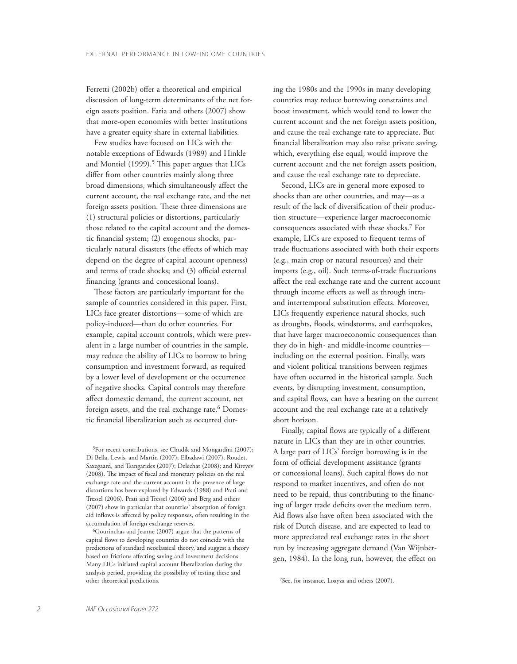Ferretti (2002b) offer a theoretical and empirical discussion of long-term determinants of the net foreign assets position. Faria and others (2007) show that more-open economies with better institutions have a greater equity share in external liabilities.

Few studies have focused on LICs with the notable exceptions of Edwards (1989) and Hinkle and Montiel  $(1999).<sup>5</sup>$  This paper argues that LICs differ from other countries mainly along three broad dimensions, which simultaneously affect the current account, the real exchange rate, and the net foreign assets position. These three dimensions are (1) structural policies or distortions, particularly those related to the capital account and the domestic financial system; (2) exogenous shocks, particularly natural disasters (the effects of which may depend on the degree of capital account openness) and terms of trade shocks; and (3) official external financing (grants and concessional loans).

These factors are particularly important for the sample of countries considered in this paper. First, LICs face greater distortions—some of which are policy-induced—than do other countries. For example, capital account controls, which were prevalent in a large number of countries in the sample, may reduce the ability of LICs to borrow to bring consumption and investment forward, as required by a lower level of development or the occurrence of negative shocks. Capital controls may therefore affect domestic demand, the current account, net foreign assets, and the real exchange rate.<sup>6</sup> Domestic financial liberalization such as occurred dur-

5For recent contributions, see Chudik and Mongardini (2007); Di Bella, Lewis, and Martin (2007); Elbadawi (2007); Roudet, Saxegaard, and Tsangarides (2007); Delechat (2008); and Kireyev (2008). The impact of fiscal and monetary policies on the real exchange rate and the current account in the presence of large distortions has been explored by Edwards (1988) and Prati and Tressel (2006). Prati and Tressel (2006) and Berg and others (2007) show in particular that countries' absorption of foreign aid inflows is affected by policy responses, often resulting in the accumulation of foreign exchange reserves.

6Gourinchas and Jeanne (2007) argue that the patterns of capital flows to developing countries do not coincide with the predictions of standard neoclassical theory, and suggest a theory based on frictions affecting saving and investment decisions. Many LICs initiated capital account liberalization during the analysis period, providing the possibility of testing these and other theoretical predictions.

ing the 1980s and the 1990s in many developing countries may reduce borrowing constraints and boost investment, which would tend to lower the current account and the net foreign assets position, and cause the real exchange rate to appreciate. But financial liberalization may also raise private saving, which, everything else equal, would improve the current account and the net foreign assets position, and cause the real exchange rate to depreciate.

Second, LICs are in general more exposed to shocks than are other countries, and may—as a result of the lack of diversification of their production structure—experience larger macroeconomic consequences associated with these shocks.7 For example, LICs are exposed to frequent terms of trade fluctuations associated with both their exports (e.g., main crop or natural resources) and their imports (e.g., oil). Such terms-of-trade fluctuations affect the real exchange rate and the current account through income effects as well as through intraand intertemporal substitution effects. Moreover, LICs frequently experience natural shocks, such as droughts, floods, windstorms, and earthquakes, that have larger macroeconomic consequences than they do in high- and middle-income countries including on the external position. Finally, wars and violent political transitions between regimes have often occurred in the historical sample. Such events, by disrupting investment, consumption, and capital flows, can have a bearing on the current account and the real exchange rate at a relatively short horizon.

Finally, capital flows are typically of a different nature in LICs than they are in other countries. A large part of LICs' foreign borrowing is in the form of official development assistance (grants or concessional loans). Such capital flows do not respond to market incentives, and often do not need to be repaid, thus contributing to the financing of larger trade deficits over the medium term. Aid flows also have often been associated with the risk of Dutch disease, and are expected to lead to more appreciated real exchange rates in the short run by increasing aggregate demand (Van Wijnbergen, 1984). In the long run, however, the effect on

7See, for instance, Loayza and others (2007).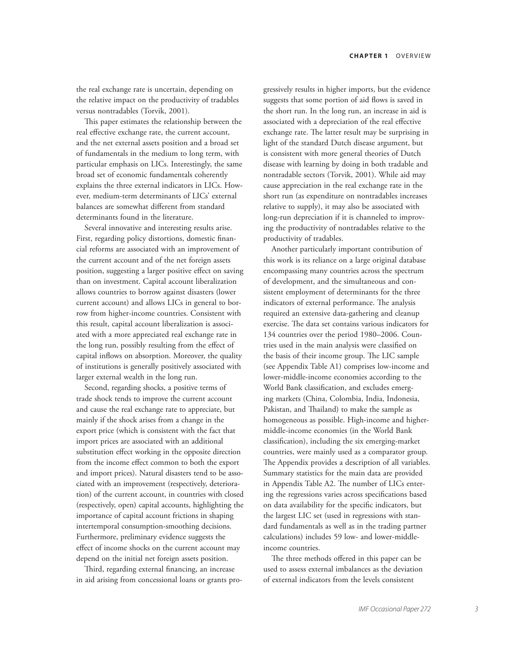the real exchange rate is uncertain, depending on the relative impact on the productivity of tradables versus nontradables (Torvik, 2001).

This paper estimates the relationship between the real effective exchange rate, the current account, and the net external assets position and a broad set of fundamentals in the medium to long term, with particular emphasis on LICs. Interestingly, the same broad set of economic fundamentals coherently explains the three external indicators in LICs. However, medium-term determinants of LICs' external balances are somewhat different from standard determinants found in the literature.

Several innovative and interesting results arise. First, regarding policy distortions, domestic financial reforms are associated with an improvement of the current account and of the net foreign assets position, suggesting a larger positive effect on saving than on investment. Capital account liberalization allows countries to borrow against disasters (lower current account) and allows LICs in general to borrow from higher-income countries. Consistent with this result, capital account liberalization is associated with a more appreciated real exchange rate in the long run, possibly resulting from the effect of capital inflows on absorption. Moreover, the quality of institutions is generally positively associated with larger external wealth in the long run.

Second, regarding shocks, a positive terms of trade shock tends to improve the current account and cause the real exchange rate to appreciate, but mainly if the shock arises from a change in the export price (which is consistent with the fact that import prices are associated with an additional substitution effect working in the opposite direction from the income effect common to both the export and import prices). Natural disasters tend to be associated with an improvement (respectively, deterioration) of the current account, in countries with closed (respectively, open) capital accounts, highlighting the importance of capital account frictions in shaping intertemporal consumption-smoothing decisions. Furthermore, preliminary evidence suggests the effect of income shocks on the current account may depend on the initial net foreign assets position.

Third, regarding external financing, an increase in aid arising from concessional loans or grants progressively results in higher imports, but the evidence suggests that some portion of aid flows is saved in the short run. In the long run, an increase in aid is associated with a depreciation of the real effective exchange rate. The latter result may be surprising in light of the standard Dutch disease argument, but is consistent with more general theories of Dutch disease with learning by doing in both tradable and nontradable sectors (Torvik, 2001). While aid may cause appreciation in the real exchange rate in the short run (as expenditure on nontradables increases relative to supply), it may also be associated with long-run depreciation if it is channeled to improving the productivity of nontradables relative to the productivity of tradables.

Another particularly important contribution of this work is its reliance on a large original database encompassing many countries across the spectrum of development, and the simultaneous and consistent employment of determinants for the three indicators of external performance. The analysis required an extensive data-gathering and cleanup exercise. The data set contains various indicators for 134 countries over the period 1980–2006. Countries used in the main analysis were classified on the basis of their income group. The LIC sample (see Appendix Table A1) comprises low-income and lower-middle-income economies according to the World Bank classification, and excludes emerging markets (China, Colombia, India, Indonesia, Pakistan, and Thailand) to make the sample as homogeneous as possible. High-income and highermiddle-income economies (in the World Bank classification), including the six emerging-market countries, were mainly used as a comparator group. The Appendix provides a description of all variables. Summary statistics for the main data are provided in Appendix Table A2. The number of LICs entering the regressions varies across specifications based on data availability for the specific indicators, but the largest LIC set (used in regressions with standard fundamentals as well as in the trading partner calculations) includes 59 low- and lower-middleincome countries.

The three methods offered in this paper can be used to assess external imbalances as the deviation of external indicators from the levels consistent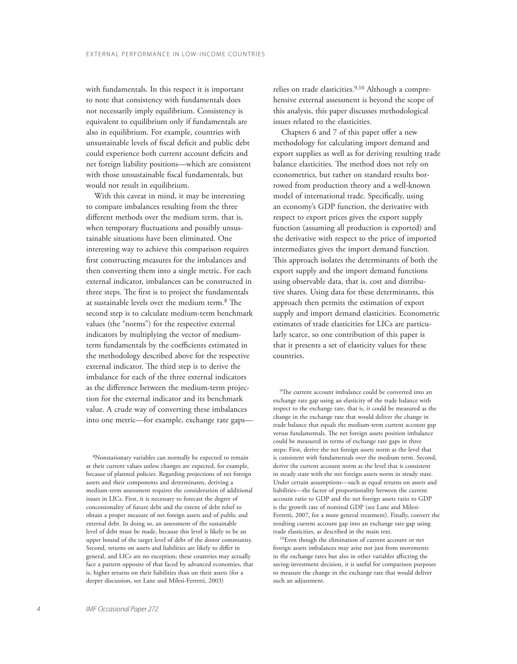with fundamentals. In this respect it is important to note that consistency with fundamentals does not necessarily imply equilibrium. Consistency is equivalent to equilibrium only if fundamentals are also in equilibrium. For example, countries with unsustainable levels of fiscal deficit and public debt could experience both current account deficits and net foreign liability positions—which are consistent with those unsustainable fiscal fundamentals, but would not result in equilibrium.

With this caveat in mind, it may be interesting to compare imbalances resulting from the three different methods over the medium term, that is, when temporary fluctuations and possibly unsustainable situations have been eliminated. One interesting way to achieve this comparison requires first constructing measures for the imbalances and then converting them into a single metric. For each external indicator, imbalances can be constructed in three steps. The first is to project the fundamentals at sustainable levels over the medium term.<sup>8</sup> The second step is to calculate medium-term benchmark values (the "norms") for the respective external indicators by multiplying the vector of mediumterm fundamentals by the coefficients estimated in the methodology described above for the respective external indicator. The third step is to derive the imbalance for each of the three external indicators as the difference between the medium-term projection for the external indicator and its benchmark value. A crude way of converting these imbalances into one metric—for example, exchange rate gaps—

8Nonstationary variables can normally be expected to remain at their current values unless changes are expected, for example, because of planned policies. Regarding projections of net foreign assets and their components and determinants, deriving a medium-term assessment requires the consideration of additional issues in LICs. First, it is necessary to forecast the degree of concessionality of future debt and the extent of debt relief to obtain a proper measure of net foreign assets and of public and external debt. In doing so, an assessment of the sustainable level of debt must be made, because this level is likely to be an upper bound of the target level of debt of the donor community. Second, returns on assets and liabilities are likely to differ in general, and LICs are no exception; these countries may actually face a pattern opposite of that faced by advanced economies, that is, higher returns on their liabilities than on their assets (for a deeper discussion, see Lane and Milesi-Ferretti, 2003)

relies on trade elasticities.<sup>9,10</sup> Although a comprehensive external assessment is beyond the scope of this analysis, this paper discusses methodological issues related to the elasticities.

Chapters 6 and 7 of this paper offer a new methodology for calculating import demand and export supplies as well as for deriving resulting trade balance elasticities. The method does not rely on econometrics, but rather on standard results borrowed from production theory and a well-known model of international trade. Specifically, using an economy's GDP function, the derivative with respect to export prices gives the export supply function (assuming all production is exported) and the derivative with respect to the price of imported intermediates gives the import demand function. This approach isolates the determinants of both the export supply and the import demand functions using observable data, that is, cost and distributive shares. Using data for these determinants, this approach then permits the estimation of export supply and import demand elasticities. Econometric estimates of trade elasticities for LICs are particularly scarce, so one contribution of this paper is that it presents a set of elasticity values for these countries.

<sup>9</sup>The current account imbalance could be converted into an exchange rate gap using an elasticity of the trade balance with respect to the exchange rate, that is, it could be measured as the change in the exchange rate that would deliver the change in trade balance that equals the medium-term current account gap versus fundamentals. The net foreign assets position imbalance could be measured in terms of exchange rate gaps in three steps: First, derive the net foreign assets norm as the level that is consistent with fundamentals over the medium term. Second, derive the current account norm as the level that is consistent in steady state with the net foreign assets norm in steady state. Under certain assumptions—such as equal returns on assets and liabilities—the factor of proportionality between the current account ratio to GDP and the net foreign assets ratio to GDP is the growth rate of nominal GDP (see Lane and Milesi-Ferretti, 2007, for a more general treatment). Finally, convert the resulting current account gap into an exchange rate gap using trade elasticities, as described in the main text.

10Even though the elimination of current account or net foreign assets imbalances may arise not just from movements in the exchange rates but also in other variables affecting the saving-investment decision, it is useful for comparison purposes to measure the change in the exchange rate that would deliver such an adjustment.